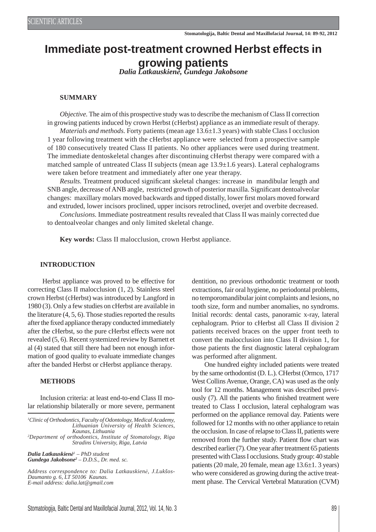# **Immediate post-treatment crowned Herbst effects in growing patients** *Dalia Latkauskienė, Gundega Jakobsone*

#### **SUMMARY**

*Objective.* The aim of this prospective study was to describe the mechanism of Class II correction in growing patients induced by crown Herbst (cHerbst) appliance as an immediate result of therapy. *Materials and methods.* Forty patients (mean age  $13.6\pm1.3$  years) with stable Class I occlusion 1 year following treatment with the cHerbst appliance were selected from a prospective sample of 180 consecutively treated Class II patients. No other appliances were used during treatment. The immediate dentoskeletal changes after discontinuing cHerbst therapy were compared with a matched sample of untreated Class II subjects (mean age  $13.9\pm1.6$  years). Lateral cephalograms were taken before treatment and immediately after one year therapy.

*Results.* Treatment produced significant skeletal changes: increase in mandibular length and SNB angle, decrease of ANB angle, restricted growth of posterior maxilla. Significant dentoalveolar changes: maxillary molars moved backwards and tipped distally, lower first molars moved forward and extruded, lower incisors proclined, upper incisors retroclined, overjet and overbite decreased.

*Conclusions.* Immediate postreatment results revealed that Class II was mainly corrected due to dentoalveolar changes and only limited skeletal change.

**Key words:** Class II malocclusion, crown Herbst appliance.

#### **INTRODUCTION**

 Herbst appliance was proved to be effective for correcting Class II malocclusion (1, 2). Stainless steel crown Herbst (cHerbst) was introduced by Langford in 1980 (3). Only a few studies on cHerbst are available in the literature (4, 5, 6). Those studies reported the results after the fixed appliance therapy conducted immediately after the cHerbst, so the pure cHerbst effects were not revealed (5, 6). Recent systemized review by Barnett et al (4) stated that still there had been not enough information of good quality to evaluate immediate changes after the banded Herbst or cHerbst appliance therapy.

#### **METHODS**

Inclusion criteria: at least end-to-end Class II molar relationship bilaterally or more severe, permanent

*1 Clinic of Orthodontics, Faculty of Odontology, Medical Academy, Lithuanian University of Health Sciences, Kaunas, Lithuania 2 Department of orthodontics, Institute of Stomatology, Riga* 

*Stradins University, Riga, Latvia*

*Dalia Latkauskienė<sup>1</sup> – PhD student Gundega Jakobsone2 – D.D.S., Dr. med. sc.*

*Address correspondence to: Dalia Latkauskienė, J.Lukšos-Daumanto g. 6, LT 50106 Kaunas. E-mail address: dalia.lat@gmail.com*

dentition, no previous orthodontic treatment or tooth extractions, fair oral hygiene, no periodontal problems, no temporomandibular joint complaints and lesions, no tooth size, form and number anomalies, no syndroms. Initial records: dental casts, panoramic x-ray, lateral cephalogram. Prior to cHerbst all Class II division 2 patients received braces on the upper front teeth to convert the malocclusion into Class II division 1, for those patients the first diagnostic lateral cephalogram was performed after alignment.

One hundred eighty included patients were treated by the same orthodontist (D. L.). CHerbst (Ormco, 1717 West Collins Avenue, Orange, CA) was used as the only tool for 12 months. Management was described previously (7). All the patients who finished treatment were treated to Class I occlusion, lateral cephalogram was performed on the appliance removal day. Patients were followed for 12 months with no other appliance to retain the occlusion. In case of relapse to Class II, patients were removed from the further study. Patient flow chart was described earlier (7). One year after treatment 65 patients presented with Class I occlusions. Study group: 40 stable patients (20 male, 20 female, mean age 13.6±1. 3 years) who were considered as growing during the active treatment phase. The Cervical Vertebral Maturation (CVM)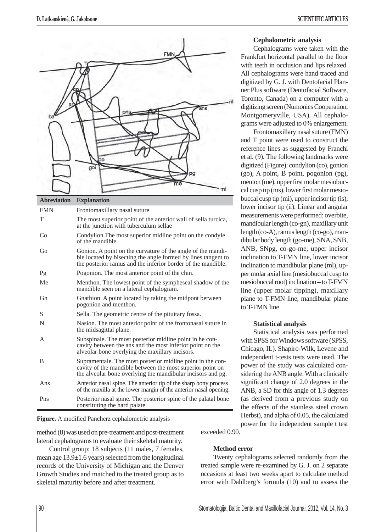

# **Abreviation Explanation** FMN Frontomaxillary nasal suture T The most superior point of the anterior wall of sella turcica, at the junction with tuberculum sellae Co Condylion.The most superior midline point on the condyle of the mandible. Go Gonion. A point on the curvature of the angle of the mandible located by bisecting the angle formed by lines tangent to the posterior ramus and the inferior border of the mandible. Pg Pogonion. The most anterior point of the chin. Me Menthon. The lowest point of the sympheseal shadow of the mandible seen on a lateral cephalogram. Gn Gnathion. A point located by taking the midpont between pogonion and menthon. S Sella. The geometric centre of the pituitary fossa. N Nasion. The most anterior point of the frontonasal suture in the midsagittal plane. A Subspinale. The most posterior midline point in he concavity between the ans and the most inferior point on the alveolar bone overlying the maxillary incisors. B Supramentale. The most posterior midline point in the concavity of the mandible between the most superior point on the alveolar bone overlying the mandibular incisors and pg. Ans Anterior nasal spine. The anterior tip of the sharp bony process of the maxilla at the lower margin of the anterior nasal opening. Pns Posterior nasal spine. The posterior spine of the palatal bone constituting the hard palate.

Figure. A modified Pancherz cephalometric analysis

method (8) was used on pre-treatment and post-treatment lateral cephalograms to evaluate their skeletal maturity.

Control group: 18 subjects (11 males, 7 females, mean age 13.9±1.6 years) selected from the longitudinal records of the University of Michigan and the Denver Growth Studies and matched to the treated group as to skeletal maturity before and after treatment.

# **Cephalometric analysis**

Cephalograms were taken with the Frankfurt horizontal parallel to the floor with teeth in occlusion and lips relaxed. All cephalograms were hand traced and digitized by G. J. with Dentofacial Planner Plus software (Dentofacial Software, Toronto, Canada) on a computer with a digitizing screen (Numonics Cooperation, Montgomeryville, USA). All cephalograms were adjusted to 0% enlargement.

Frontomaxillary nasal suture (FMN) and T point were used to construct the reference lines as suggested by Franchi et al. (9). The following landmarks were digitized (Figure): condylion (co), gonion (go), A point, B point, pogonion (pg), menton (me), upper first molar mesiobuccal cusp tip (ms), lower first molar mesiobuccal cusp tip (mi), upper incisor tip (is), lower incisor tip (ii). Linear and angular measurements were performed: overbite, mandibular length (co-gn), maxillary unit length (co-A), ramus length (co-go), mandibular body length (go-me), SNA, SNB, ANB, SNpg, co-go-me, upper incisor inclination to T-FMN line, lower incisor inclination to mandibular plane (ml), upper molar axial line (mesiobuccal cusp to mesiobuccal root) inclination – to T-FMN line (upper molar tipping), maxillary plane to T-FMN line, mandibular plane to T-FMN line.

# **Statistical analysis**

Statistical analysis was performed with SPSS for Windows software (SPSS, Chicago, IL). Shapiro-Wilk, Levene and independent t-tests tests were used. The power of the study was calculated considering the ANB angle. With a clinically significant change of 2.0 degrees in the ANB, a SD for this angle of 1.3 degrees (as derived from a previous study on the effects of the stainless steel crown Herbst), and alpha of 0.05, the calculated power for the independent sample t test

exceeded 0.90.

# **Method error**

Twenty cephalograms selected randomly from the treated sample were re-examined by G. J. on 2 separate occasions at least two weeks apart to calculate method error with Dahlberg's formula (10) and to assess the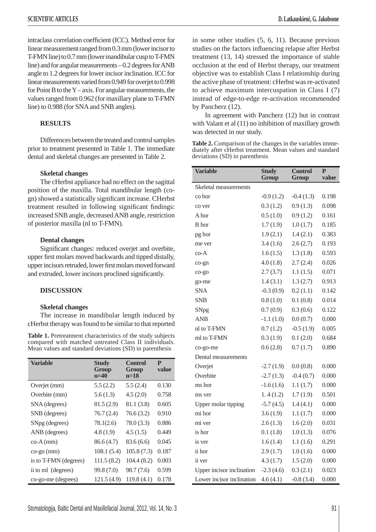intraclass correlation coefficient (ICC). Method error for linear measurement ranged from 0.3 mm (lower incisor to T-FMN line) to 0.7 mm (lower mandibular cusp to T-FMN line) and for angular measurements – 0.2 degrees for ANB angle to 1.2 degrees for lower incisor inclination. ICC for linear measurements varied from 0.949 for overjet to 0.998 for Point B to the Y – axis. For angular measurements, the values ranged from 0.962 (for maxillary plane to T-FMN line) to 0.988 (for SNA and SNB angles).

## **RESULTS**

Differences between the treated and control samples prior to treatment presented in Table 1. The immediate dental and skeletal changes are presented in Table 2.

#### **Skeletal changes**

The cHerbst appliance had no effect on the sagittal position of the maxilla. Total mandibular length (cogn) showed a statistically significant increase. CHerbst treatment resulted in following significant findings: increased SNB angle, decreased ANB angle, restriction of posterior maxilla (nl to T-FMN).

#### **Dental changes**

Significant changes: reduced overjet and overbite, upper first molars moved backwards and tipped distally, upper incisors retruded, lower first molars moved forward and extruded, lower incisors proclined significantly.

## **DISCUSSION**

#### **Skeletal changes**

The increase in mandibular length induced by cHerbst therapy was found to be similar to that reported

**Table 1.** Pretreatment characteristics of the study subjects compared with matched untreated Class II individuals. Mean values and standard deviations (SD) in parenthesis

| <b>Variable</b>         | <b>Study</b><br>Group<br>$n=40$ | <b>Control</b><br>Group<br>$n=18$ | P<br>value |
|-------------------------|---------------------------------|-----------------------------------|------------|
| Overjet (mm)            | 5.5(2.2)                        | 5.5(2.4)                          | 0.130      |
| Overbite (mm)           | 5.6(1.3)                        | 4.5(2.0)                          | 0.758      |
| SNA (degrees)           | 81.5(2.9)                       | 81.1 (3.8)                        | 0.605      |
| SNB (degrees)           | 76.7(2.4)                       | 76.6(3.2)                         | 0.910      |
| SNpg (degrees)          | 78.1(2.6)                       | 78.0(3.3)                         | 0.886      |
| ANB (degrees)           | 4.8(1.9)                        | 4.5(1.5)                          | 0.449      |
| $co-A$ (mm)             | 86.6 (4.7)                      | 83.6(6.6)                         | 0.045      |
| $\cos$ -gn $\text{m}$ ) | 108.1(5.4)                      | 105.8(7.3)                        | 0.187      |
| is to T-FMN (degrees)   | 111.5(8.2)                      | 104.4(8.2)                        | 0.003      |
| ii to ml (degrees)      | 99.8 (7.0)                      | 98.7 (7.6)                        | 0.599      |
| co-go-me (degrees)      | 121.5(4.9)                      | 119.8(4.1)                        | 0.178      |

in some other studies (5, 6, 11). Because previous studies on the factors influencing relapse after Herbst treatment (13, 14) stressed the importance of stable occlusion at the end of Herbst therapy, our treatment objective was to establish Class I relationship during the active phase of treatment: cHerbst was re-activated to achieve maximum intercuspation in Class I (7) instead of edge-to-edge re-activation recommended by Pancherz (12).

In agreement with Pancherz (12) but in contrast with Valant et al  $(11)$  no inhibition of maxillary growth was detected in our study.

Table 2. Comparison of the changes in the variables immediately after cHerbst treatment. Mean values and standard deviations (SD) in parenthesis

| <b>Variable</b>           | <b>Study</b><br>Group | <b>Control</b><br>Group | P<br>value |
|---------------------------|-----------------------|-------------------------|------------|
| Skeletal measurements     |                       |                         |            |
| co hor                    | $-0.9(1.2)$           | $-0.4(1.3)$             | 0.198      |
| co ver                    | 0.3(1.2)              | 0.9(1.3)                | 0.098      |
| A hor                     | 0.5(1.0)              | 0.9(1.2)                | 0.161      |
| <b>B</b> hor              | 1.7(1.9)              | 1.0(1.7)                | 0.185      |
| pg hor                    | 1.9(2.1)              | 1.4(2.1)                | 0.383      |
| me ver                    | 3.4(1.6)              | 2.6(2.7)                | 0.193      |
| co-A                      | 1.6(1.5)              | 1.3(1.8)                | 0.593      |
| co-gn                     | 4.0(1.8)              | 2.7(2.4)                | 0.026      |
| $CO-SO$                   | 2.7(3.7)              | 1.1(1.5)                | 0.071      |
| go-me                     | 1.4(3.1)              | 1.3(2.7)                | 0.913      |
| <b>SNA</b>                | $-0.3(0.9)$           | 0.2(1.1)                | 0.142      |
| <b>SNB</b>                | 0.8(1.0)              | 0.1(0.8)                | 0.014      |
| SNpg                      | 0.7(0.9)              | 0.3(0.6)                | 0.122      |
| <b>ANB</b>                | $-1.1(1.0)$           | 0.0(0.7)                | 0.000      |
| nl to T-FMN               | 0.7(1.2)              | $-0.5(1.9)$             | 0.005      |
| ml to T-FMN               | 0.3(1.9)              | 0.1(2.0)                | 0.684      |
| co-go-me                  | 0.6(2.8)              | 0.7(1.7)                | 0.890      |
| Dental measurements       |                       |                         |            |
| Overjet                   | $-2.7(1.9)$           | 0.0(0.8)                | 0.000      |
| Overbite                  | $-2.7(1.3)$           | $-0.4(0.7)$             | 0.000      |
| ms hor                    | $-1.6(1.6)$           | 1.1(1.7)                | 0.000      |
| ms ver                    | 1.4(1.2)              | 1.7(1.9)                | 0.501      |
| Upper molar tipping       | $-5.7(4.5)$           | 1.4(4.1)                | 0.000      |
| mi hor                    | 3.6(1.9)              | 1.1(1.7)                | 0.000      |
| mi ver                    | 2.6(1.3)              | 1.6(2.0)                | 0.031      |
| is hor                    | 0.1(1.8)              | 1.0(1.3)                | 0.076      |
| is ver                    | 1.6(1.4)              | 1.1(1.6)                | 0.291      |
| ii hor                    | 2.9(1.7)              | 1.0(1.6)                | 0.000      |
| ii ver                    | 4.3(1.7)              | 1.5(2.0)                | 0.000      |
| Upper incisor inclination | $-2.3(4.6)$           | 0.3(2.1)                | 0.023      |
| Lower incisor inclination | 4.6(4.1)              | $-0.8(3.4)$             | 0.000      |